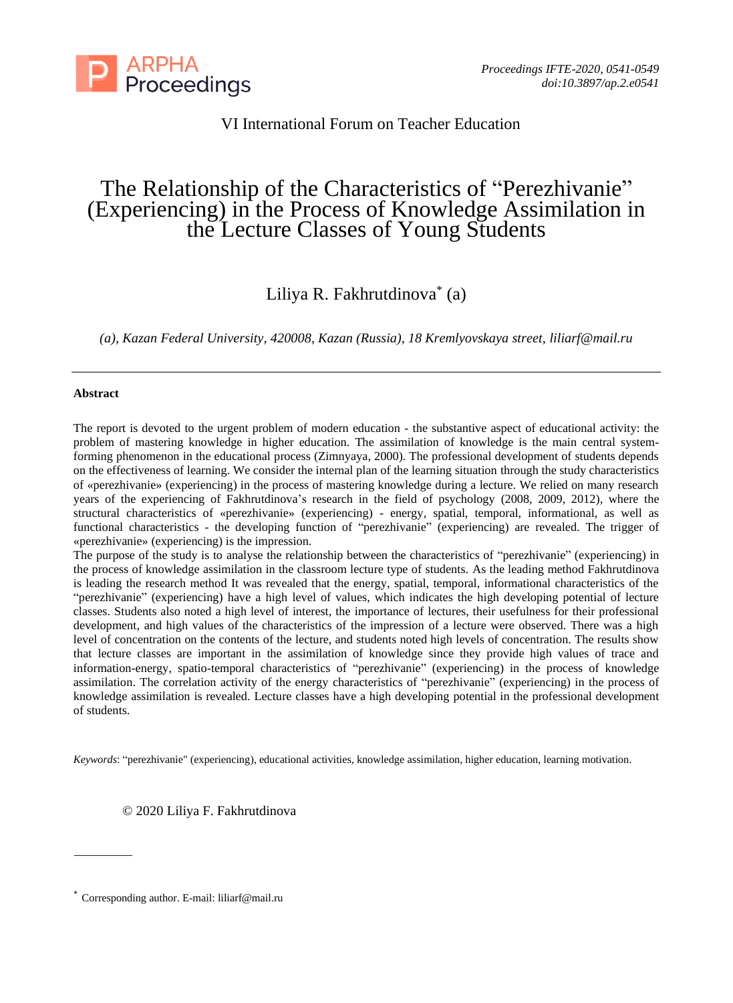

### VI International Forum on Teacher Education

# The Relationship of the Characteristics of "Perezhivanie" (Experiencing) in the Process of Knowledge Assimilation in the Lecture Classes of Young Students

## Liliya R. Fakhrutdinova\* (a)

*(a), Kazan Federal University, 420008, Kazan (Russia), 18 Kremlyovskaya street, liliarf@mail.ru*

#### **Abstract**

The report is devoted to the urgent problem of modern education - the substantive aspect of educational activity: the problem of mastering knowledge in higher education. The assimilation of knowledge is the main central systemforming phenomenon in the educational process (Zimnyaya, 2000). The professional development of students depends on the effectiveness of learning. We consider the internal plan of the learning situation through the study characteristics of «perezhivanie» (experiencing) in the process of mastering knowledge during a lecture. We relied on many research years of the experiencing of Fakhrutdinova's research in the field of psychology (2008, 2009, 2012), where the structural characteristics of «perezhivanie» (experiencing) - energy, spatial, temporal, informational, as well as functional characteristics - the developing function of "perezhivanie" (experiencing) are revealed. The trigger of «perezhivanie» (experiencing) is the impression.

The purpose of the study is to analyse the relationship between the characteristics of "perezhivanie" (experiencing) in the process of knowledge assimilation in the classroom lecture type of students. As the leading method Fakhrutdinova is leading the research method It was revealed that the energy, spatial, temporal, informational characteristics of the "perezhivanie" (experiencing) have a high level of values, which indicates the high developing potential of lecture classes. Students also noted a high level of interest, the importance of lectures, their usefulness for their professional development, and high values of the characteristics of the impression of a lecture were observed. There was a high level of concentration on the contents of the lecture, and students noted high levels of concentration. The results show that lecture classes are important in the assimilation of knowledge since they provide high values of trace and information-energy, spatio-temporal characteristics of "perezhivanie" (experiencing) in the process of knowledge assimilation. The correlation activity of the energy characteristics of "perezhivanie" (experiencing) in the process of knowledge assimilation is revealed. Lecture classes have a high developing potential in the professional development of students.

*Keywords*: "perezhivanie" (experiencing), educational activities, knowledge assimilation, higher education, learning motivation.

© 2020 Liliya F. Fakhrutdinova

<sup>\*</sup> Corresponding author. E-mail: liliarf@mail.ru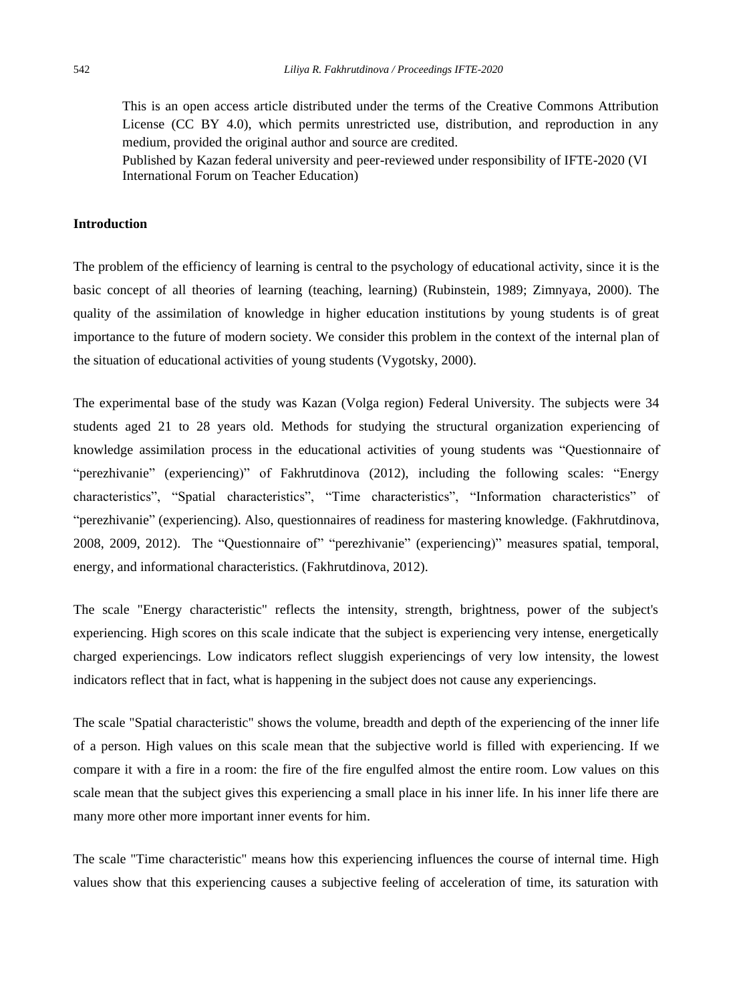This is an open access article distributed under the terms of the Creative Commons Attribution License (CC BY 4.0), which permits unrestricted use, distribution, and reproduction in any medium, provided the original author and source are credited.

Published by Kazan federal university and peer-reviewed under responsibility of IFTE-2020 (VI International Forum on Teacher Education)

#### **Introduction**

The problem of the efficiency of learning is central to the psychology of educational activity, since it is the basic concept of all theories of learning (teaching, learning) (Rubinstein, 1989; Zimnyaya, 2000). The quality of the assimilation of knowledge in higher education institutions by young students is of great importance to the future of modern society. We consider this problem in the context of the internal plan of the situation of educational activities of young students (Vygotsky, 2000).

The experimental base of the study was Kazan (Volga region) Federal University. The subjects were 34 students aged 21 to 28 years old. Methods for studying the structural organization experiencing of knowledge assimilation process in the educational activities of young students was "Questionnaire of "perezhivanie" (experiencing)" of Fakhrutdinova (2012), including the following scales: "Energy characteristics", "Spatial characteristics", "Time characteristics", "Information characteristics" of "perezhivanie" (experiencing). Also, questionnaires of readiness for mastering knowledge. (Fakhrutdinova, 2008, 2009, 2012). The "Questionnaire of" "perezhivanie" (experiencing)" measures spatial, temporal, energy, and informational characteristics. (Fakhrutdinova, 2012).

The scale "Energy characteristic" reflects the intensity, strength, brightness, power of the subject's experiencing. High scores on this scale indicate that the subject is experiencing very intense, energetically charged experiencings. Low indicators reflect sluggish experiencings of very low intensity, the lowest indicators reflect that in fact, what is happening in the subject does not cause any experiencings.

The scale "Spatial characteristic" shows the volume, breadth and depth of the experiencing of the inner life of a person. High values on this scale mean that the subjective world is filled with experiencing. If we compare it with a fire in a room: the fire of the fire engulfed almost the entire room. Low values on this scale mean that the subject gives this experiencing a small place in his inner life. In his inner life there are many more other more important inner events for him.

The scale "Time characteristic" means how this experiencing influences the course of internal time. High values show that this experiencing causes a subjective feeling of acceleration of time, its saturation with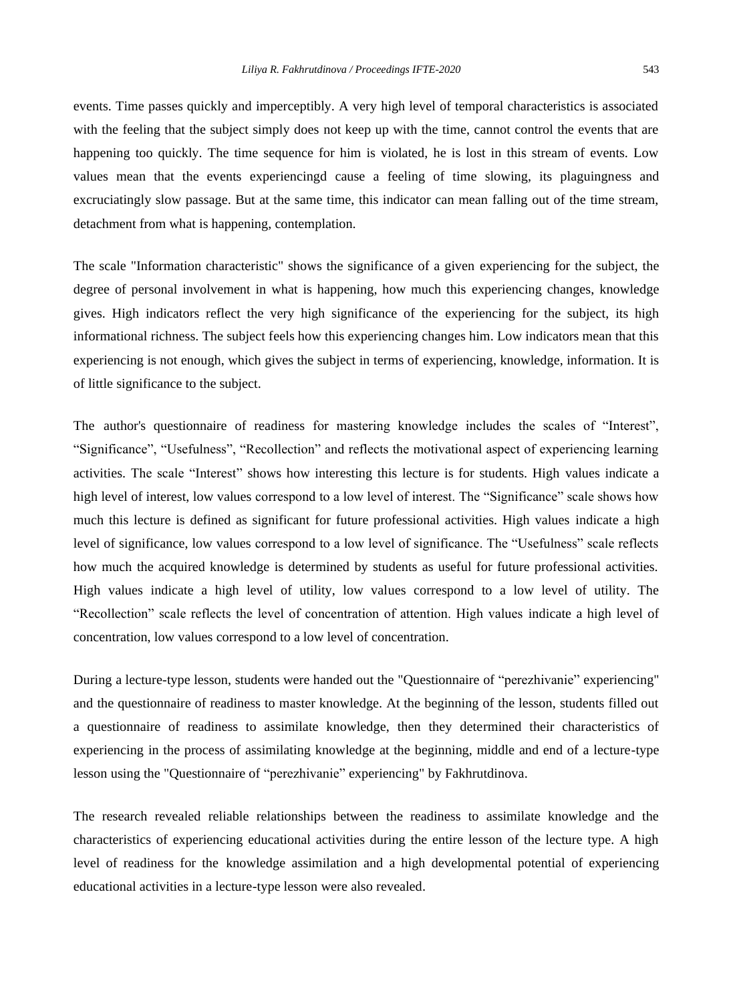events. Time passes quickly and imperceptibly. A very high level of temporal characteristics is associated with the feeling that the subject simply does not keep up with the time, cannot control the events that are happening too quickly. The time sequence for him is violated, he is lost in this stream of events. Low values mean that the events experiencingd cause a feeling of time slowing, its plaguingness and excruciatingly slow passage. But at the same time, this indicator can mean falling out of the time stream, detachment from what is happening, contemplation.

The scale "Information characteristic" shows the significance of a given experiencing for the subject, the degree of personal involvement in what is happening, how much this experiencing changes, knowledge gives. High indicators reflect the very high significance of the experiencing for the subject, its high informational richness. The subject feels how this experiencing changes him. Low indicators mean that this experiencing is not enough, which gives the subject in terms of experiencing, knowledge, information. It is of little significance to the subject.

The author's questionnaire of readiness for mastering knowledge includes the scales of "Interest", "Significance", "Usefulness", "Recollection" and reflects the motivational aspect of experiencing learning activities. The scale "Interest" shows how interesting this lecture is for students. High values indicate a high level of interest, low values correspond to a low level of interest. The "Significance" scale shows how much this lecture is defined as significant for future professional activities. High values indicate a high level of significance, low values correspond to a low level of significance. The "Usefulness" scale reflects how much the acquired knowledge is determined by students as useful for future professional activities. High values indicate a high level of utility, low values correspond to a low level of utility. The "Recollection" scale reflects the level of concentration of attention. High values indicate a high level of concentration, low values correspond to a low level of concentration.

During a lecture-type lesson, students were handed out the "Questionnaire of "perezhivanie" experiencing" and the questionnaire of readiness to master knowledge. At the beginning of the lesson, students filled out a questionnaire of readiness to assimilate knowledge, then they determined their characteristics of experiencing in the process of assimilating knowledge at the beginning, middle and end of a lecture-type lesson using the "Questionnaire of "perezhivanie" experiencing" by Fakhrutdinova.

The research revealed reliable relationships between the readiness to assimilate knowledge and the characteristics of experiencing educational activities during the entire lesson of the lecture type. A high level of readiness for the knowledge assimilation and a high developmental potential of experiencing educational activities in a lecture-type lesson were also revealed.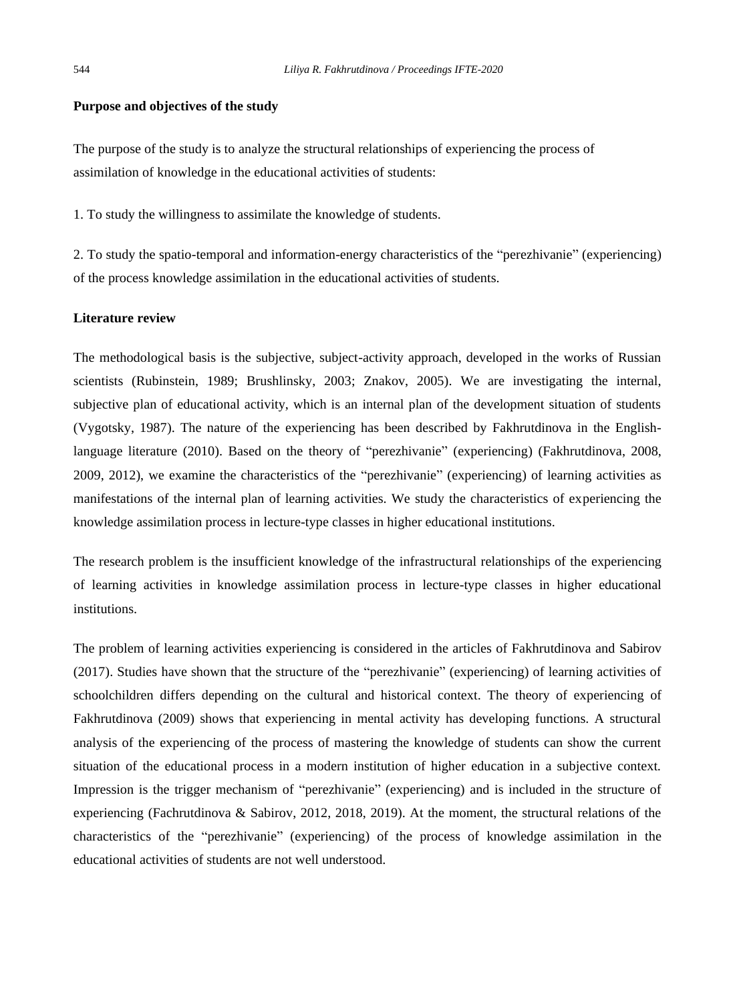#### **Purpose and objectives of the study**

The purpose of the study is to analyze the structural relationships of experiencing the process of assimilation of knowledge in the educational activities of students:

1. To study the willingness to assimilate the knowledge of students.

2. To study the spatio-temporal and information-energy characteristics of the "perezhivanie" (experiencing) of the process knowledge assimilation in the educational activities of students.

#### **Literature review**

The methodological basis is the subjective, subject-activity approach, developed in the works of Russian scientists (Rubinstein, 1989; Brushlinsky, 2003; Znakov, 2005). We are investigating the internal, subjective plan of educational activity, which is an internal plan of the development situation of students (Vygotsky, 1987). The nature of the experiencing has been described by Fakhrutdinova in the Englishlanguage literature (2010). Based on the theory of "perezhivanie" (experiencing) (Fakhrutdinova, 2008, 2009, 2012), we examine the characteristics of the "perezhivanie" (experiencing) of learning activities as manifestations of the internal plan of learning activities. We study the characteristics of experiencing the knowledge assimilation process in lecture-type classes in higher educational institutions.

The research problem is the insufficient knowledge of the infrastructural relationships of the experiencing of learning activities in knowledge assimilation process in lecture-type classes in higher educational institutions.

The problem of learning activities experiencing is considered in the articles of Fakhrutdinova and Sabirov (2017). Studies have shown that the structure of the "perezhivanie" (experiencing) of learning activities of schoolchildren differs depending on the cultural and historical context. The theory of experiencing of Fakhrutdinova (2009) shows that experiencing in mental activity has developing functions. A structural analysis of the experiencing of the process of mastering the knowledge of students can show the current situation of the educational process in a modern institution of higher education in a subjective context. Impression is the trigger mechanism of "perezhivanie" (experiencing) and is included in the structure of experiencing (Fachrutdinova & Sabirov, 2012, 2018, 2019). At the moment, the structural relations of the characteristics of the "perezhivanie" (experiencing) of the process of knowledge assimilation in the educational activities of students are not well understood.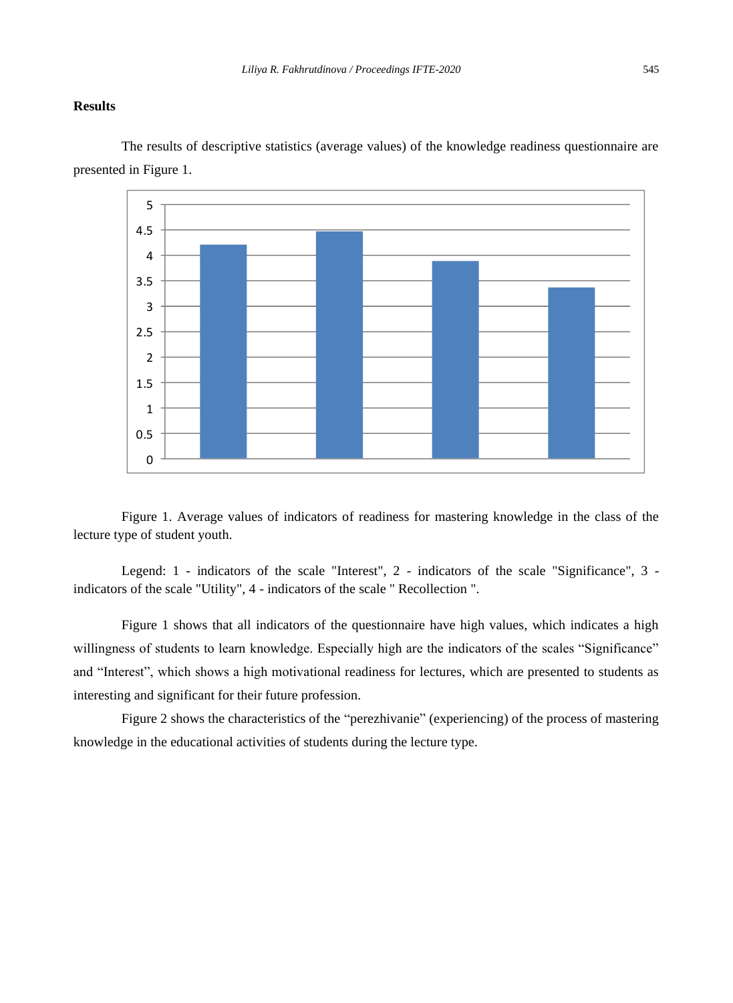#### **Results**

0 0.5 1 1.5 2 2.5 3 3.5 4 4.5 5

The results of descriptive statistics (average values) of the knowledge readiness questionnaire are presented in Figure 1.

Figure 1. Average values of indicators of readiness for mastering knowledge in the class of the lecture type of student youth.

Legend: 1 - indicators of the scale "Interest", 2 - indicators of the scale "Significance", 3 indicators of the scale "Utility", 4 - indicators of the scale " Recollection ".

Figure 1 shows that all indicators of the questionnaire have high values, which indicates a high willingness of students to learn knowledge. Especially high are the indicators of the scales "Significance" and "Interest", which shows a high motivational readiness for lectures, which are presented to students as interesting and significant for their future profession.

Figure 2 shows the characteristics of the "perezhivanie" (experiencing) of the process of mastering knowledge in the educational activities of students during the lecture type.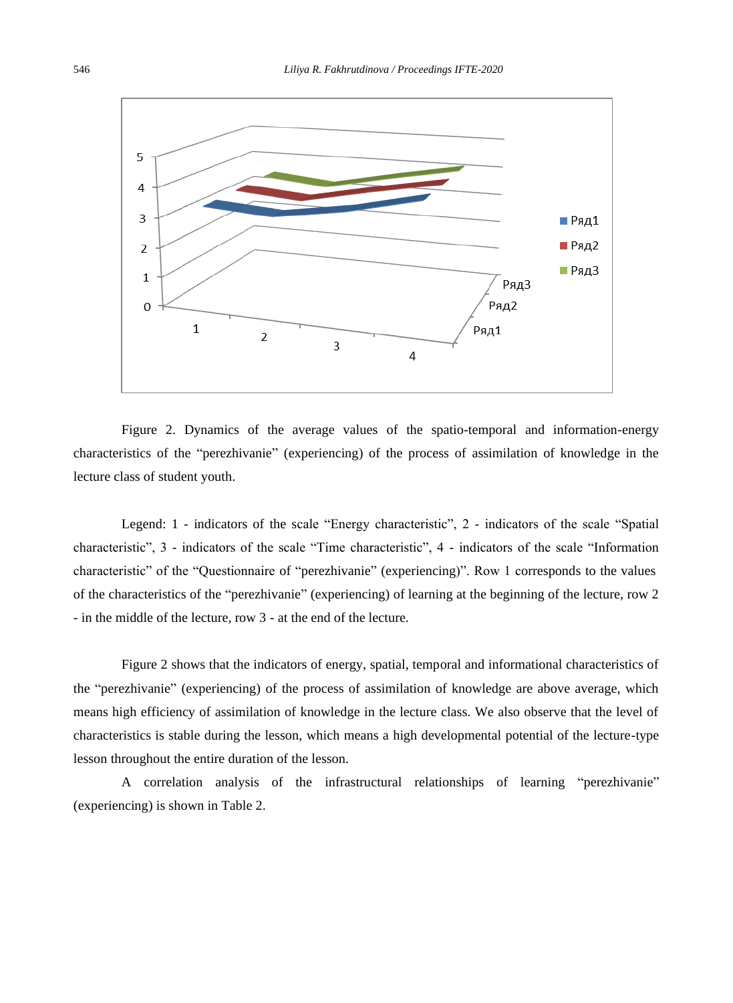

Figure 2. Dynamics of the average values of the spatio-temporal and information-energy characteristics of the "perezhivanie" (experiencing) of the process of assimilation of knowledge in the lecture class of student youth.

Legend: 1 - indicators of the scale "Energy characteristic", 2 - indicators of the scale "Spatial characteristic", 3 - indicators of the scale "Time characteristic", 4 - indicators of the scale "Information characteristic" of the "Questionnaire of "perezhivanie" (experiencing)". Row 1 corresponds to the values of the characteristics of the "perezhivanie" (experiencing) of learning at the beginning of the lecture, row 2 - in the middle of the lecture, row 3 - at the end of the lecture.

Figure 2 shows that the indicators of energy, spatial, temporal and informational characteristics of the "perezhivanie" (experiencing) of the process of assimilation of knowledge are above average, which means high efficiency of assimilation of knowledge in the lecture class. We also observe that the level of characteristics is stable during the lesson, which means a high developmental potential of the lecture-type lesson throughout the entire duration of the lesson.

A correlation analysis of the infrastructural relationships of learning "perezhivanie" (experiencing) is shown in Table 2.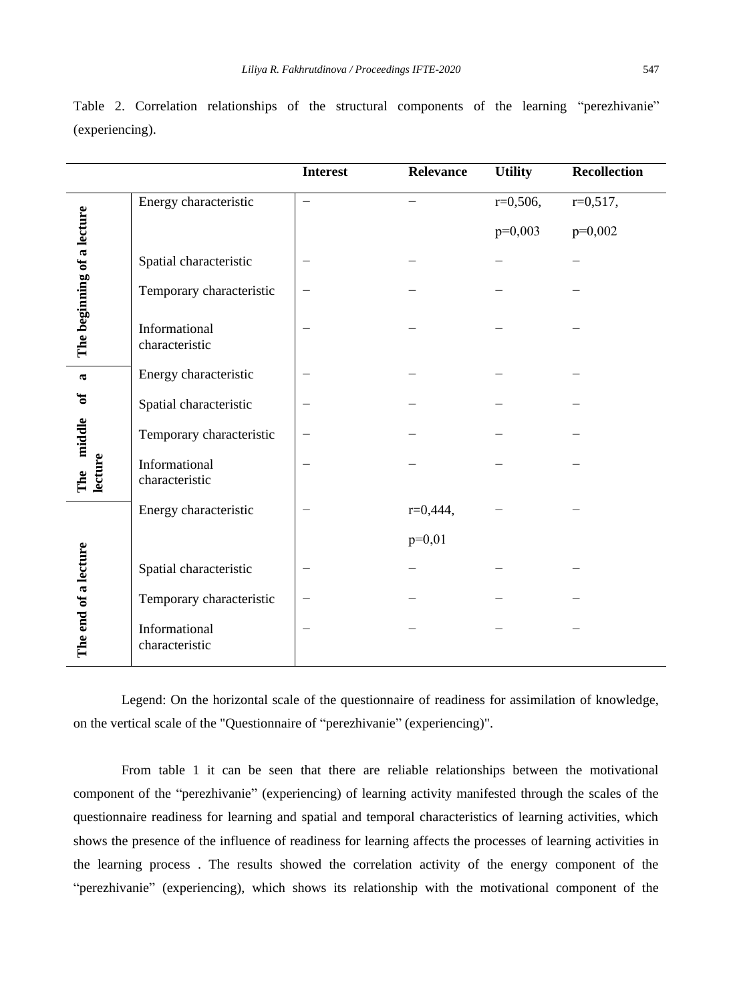|                                                         |                                 | <b>Interest</b> | Relevance  | <b>Utility</b> | Recollection |
|---------------------------------------------------------|---------------------------------|-----------------|------------|----------------|--------------|
| The beginning of a lecture                              | Energy characteristic           |                 |            | $r=0,506$ ,    | $r=0,517,$   |
|                                                         |                                 |                 |            | $p=0,003$      | $p=0,002$    |
|                                                         | Spatial characteristic          |                 |            |                |              |
|                                                         | Temporary characteristic        |                 |            |                |              |
|                                                         | Informational<br>characteristic |                 |            |                |              |
| $\boldsymbol{\varpi}$<br>ัธ<br>middle<br>lecture<br>The | Energy characteristic           |                 |            |                |              |
|                                                         | Spatial characteristic          |                 |            |                |              |
|                                                         | Temporary characteristic        |                 |            |                |              |
|                                                         | Informational<br>characteristic |                 |            |                |              |
| The end of a lecture                                    | Energy characteristic           |                 | $r=0,444,$ |                |              |
|                                                         |                                 |                 | $p=0,01$   |                |              |
|                                                         | Spatial characteristic          |                 |            |                |              |
|                                                         | Temporary characteristic        |                 |            |                |              |
|                                                         | Informational<br>characteristic |                 |            |                |              |

Table 2. Correlation relationships of the structural components of the learning "perezhivanie" (experiencing).

Legend: On the horizontal scale of the questionnaire of readiness for assimilation of knowledge, on the vertical scale of the "Questionnaire of "perezhivanie" (experiencing)".

From table 1 it can be seen that there are reliable relationships between the motivational component of the "perezhivanie" (experiencing) of learning activity manifested through the scales of the questionnaire readiness for learning and spatial and temporal characteristics of learning activities, which shows the presence of the influence of readiness for learning affects the processes of learning activities in the learning process . The results showed the correlation activity of the energy component of the "perezhivanie" (experiencing), which shows its relationship with the motivational component of the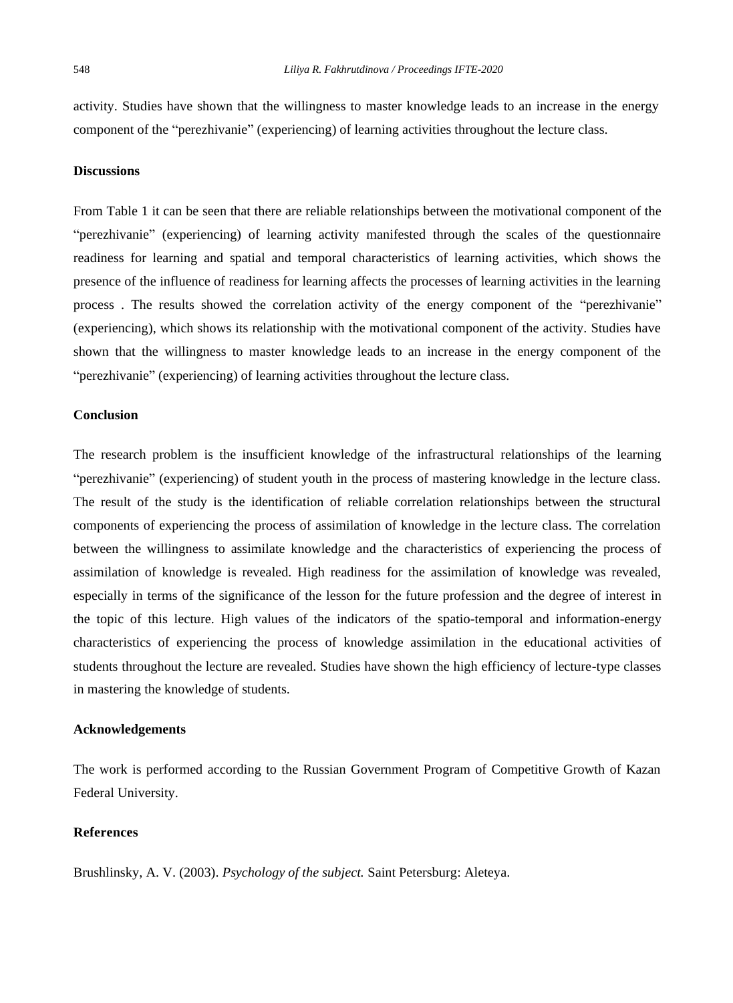activity. Studies have shown that the willingness to master knowledge leads to an increase in the energy component of the "perezhivanie" (experiencing) of learning activities throughout the lecture class.

#### **Discussions**

From Table 1 it can be seen that there are reliable relationships between the motivational component of the "perezhivanie" (experiencing) of learning activity manifested through the scales of the questionnaire readiness for learning and spatial and temporal characteristics of learning activities, which shows the presence of the influence of readiness for learning affects the processes of learning activities in the learning process . The results showed the correlation activity of the energy component of the "perezhivanie" (experiencing), which shows its relationship with the motivational component of the activity. Studies have shown that the willingness to master knowledge leads to an increase in the energy component of the "perezhivanie" (experiencing) of learning activities throughout the lecture class.

#### **Conclusion**

The research problem is the insufficient knowledge of the infrastructural relationships of the learning "perezhivanie" (experiencing) of student youth in the process of mastering knowledge in the lecture class. The result of the study is the identification of reliable correlation relationships between the structural components of experiencing the process of assimilation of knowledge in the lecture class. The correlation between the willingness to assimilate knowledge and the characteristics of experiencing the process of assimilation of knowledge is revealed. High readiness for the assimilation of knowledge was revealed, especially in terms of the significance of the lesson for the future profession and the degree of interest in the topic of this lecture. High values of the indicators of the spatio-temporal and information-energy characteristics of experiencing the process of knowledge assimilation in the educational activities of students throughout the lecture are revealed. Studies have shown the high efficiency of lecture-type classes in mastering the knowledge of students.

#### **Acknowledgements**

The work is performed according to the Russian Government Program of Competitive Growth of Kazan Federal University.

#### **References**

Brushlinsky, A. V. (2003). *Psychology of the subject.* Saint Petersburg: Aleteya.